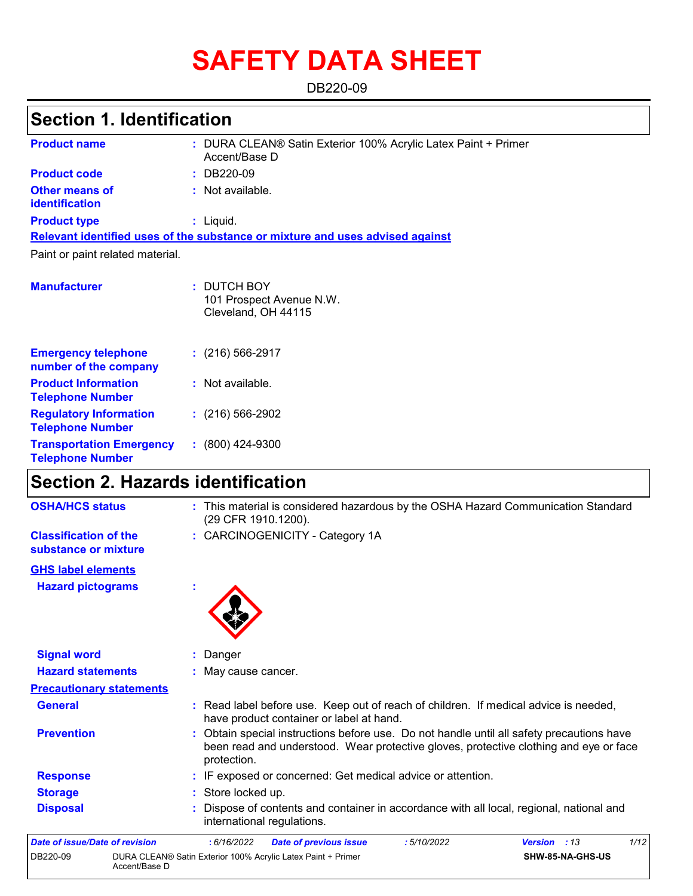# **SAFETY DATA SHEET**

DB220-09

# **Section 1. Identification**

| <b>Product name</b>                                        | : DURA CLEAN® Satin Exterior 100% Acrylic Latex Paint + Primer<br>Accent/Base D |
|------------------------------------------------------------|---------------------------------------------------------------------------------|
| <b>Product code</b>                                        | : DB220-09                                                                      |
| <b>Other means of</b><br><b>identification</b>             | : Not available.                                                                |
| <b>Product type</b>                                        | : Liquid.                                                                       |
|                                                            | Relevant identified uses of the substance or mixture and uses advised against   |
| Paint or paint related material.                           |                                                                                 |
|                                                            |                                                                                 |
| <b>Manufacturer</b>                                        | : DUTCH BOY<br>101 Prospect Avenue N.W.<br>Cleveland, OH 44115                  |
| <b>Emergency telephone</b><br>number of the company        | $: (216) 566 - 2917$                                                            |
| <b>Product Information</b><br><b>Telephone Number</b>      | : Not available.                                                                |
| <b>Regulatory Information</b><br><b>Telephone Number</b>   | $: (216) 566 - 2902$                                                            |
| <b>Transportation Emergency</b><br><b>Telephone Number</b> | $: (800)$ 424-9300                                                              |

# **Section 2. Hazards identification**

| <b>OSHA/HCS status</b>                               | : This material is considered hazardous by the OSHA Hazard Communication Standard<br>(29 CFR 1910.1200).                                                                                          |  |  |  |
|------------------------------------------------------|---------------------------------------------------------------------------------------------------------------------------------------------------------------------------------------------------|--|--|--|
| <b>Classification of the</b><br>substance or mixture | : CARCINOGENICITY - Category 1A                                                                                                                                                                   |  |  |  |
| <b>GHS label elements</b>                            |                                                                                                                                                                                                   |  |  |  |
| <b>Hazard pictograms</b>                             |                                                                                                                                                                                                   |  |  |  |
| <b>Signal word</b>                                   | Danger                                                                                                                                                                                            |  |  |  |
| <b>Hazard statements</b>                             | May cause cancer.                                                                                                                                                                                 |  |  |  |
| <b>Precautionary statements</b>                      |                                                                                                                                                                                                   |  |  |  |
| <b>General</b>                                       | : Read label before use. Keep out of reach of children. If medical advice is needed,<br>have product container or label at hand.                                                                  |  |  |  |
| <b>Prevention</b>                                    | : Obtain special instructions before use. Do not handle until all safety precautions have<br>been read and understood. Wear protective gloves, protective clothing and eye or face<br>protection. |  |  |  |
| <b>Response</b>                                      | : IF exposed or concerned: Get medical advice or attention.                                                                                                                                       |  |  |  |
| <b>Storage</b>                                       | : Store locked up.                                                                                                                                                                                |  |  |  |
| <b>Disposal</b>                                      | Dispose of contents and container in accordance with all local, regional, national and<br>international regulations.                                                                              |  |  |  |
| Date of issue/Date of revision                       | 1/12<br>: 6/16/2022<br>:5/10/2022<br><b>Date of previous issue</b><br><b>Version</b> : 13                                                                                                         |  |  |  |
| DB220-09<br>Accent/Base D                            | DURA CLEAN® Satin Exterior 100% Acrylic Latex Paint + Primer<br>SHW-85-NA-GHS-US                                                                                                                  |  |  |  |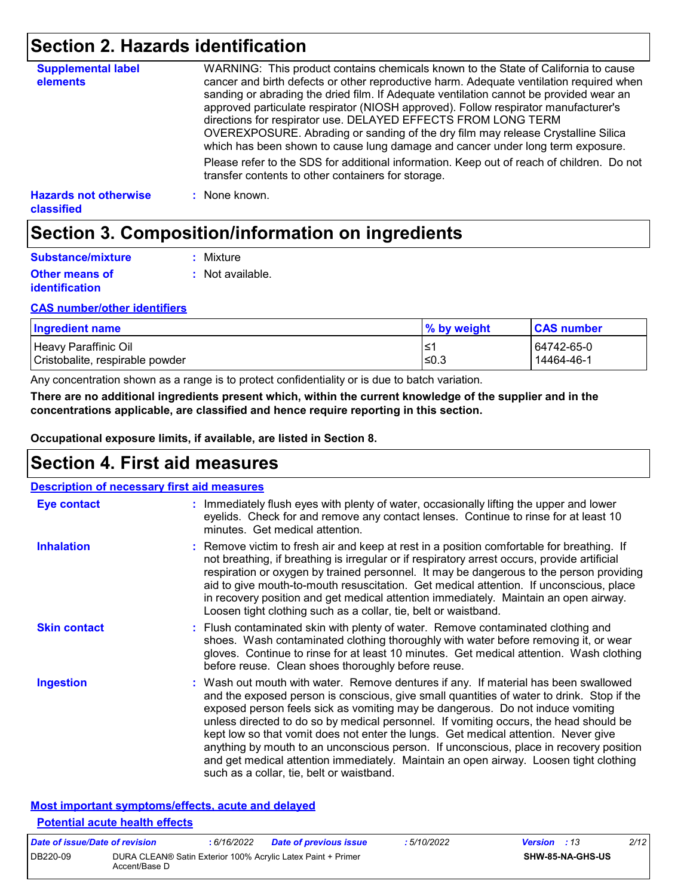# **Section 2. Hazards identification**

| <b>Supplemental label</b><br>elements             | WARNING: This product contains chemicals known to the State of California to cause<br>cancer and birth defects or other reproductive harm. Adequate ventilation required when<br>sanding or abrading the dried film. If Adequate ventilation cannot be provided wear an<br>approved particulate respirator (NIOSH approved). Follow respirator manufacturer's<br>directions for respirator use. DELAYED EFFECTS FROM LONG TERM<br>OVEREXPOSURE. Abrading or sanding of the dry film may release Crystalline Silica<br>which has been shown to cause lung damage and cancer under long term exposure. |
|---------------------------------------------------|------------------------------------------------------------------------------------------------------------------------------------------------------------------------------------------------------------------------------------------------------------------------------------------------------------------------------------------------------------------------------------------------------------------------------------------------------------------------------------------------------------------------------------------------------------------------------------------------------|
|                                                   | Please refer to the SDS for additional information. Keep out of reach of children. Do not<br>transfer contents to other containers for storage.                                                                                                                                                                                                                                                                                                                                                                                                                                                      |
| <b>Hazards not otherwise</b><br><b>classified</b> | : None known.                                                                                                                                                                                                                                                                                                                                                                                                                                                                                                                                                                                        |

# **Section 3. Composition/information on ingredients**

| Substance/mixture                              | : Mixture        |
|------------------------------------------------|------------------|
| <b>Other means of</b><br><i>identification</i> | : Not available. |

#### **CAS number/other identifiers**

| <b>Ingredient name</b>          | % by weight | <b>CAS number</b> |
|---------------------------------|-------------|-------------------|
| Heavy Paraffinic Oil            | '≥ا         | 64742-65-0        |
| Cristobalite, respirable powder | l≤0.3       | 14464-46-1        |

Any concentration shown as a range is to protect confidentiality or is due to batch variation.

**There are no additional ingredients present which, within the current knowledge of the supplier and in the concentrations applicable, are classified and hence require reporting in this section.**

**Occupational exposure limits, if available, are listed in Section 8.**

### **Section 4. First aid measures**

| <b>Description of necessary first aid measures</b> |                                                                                                                                                                                                                                                                                                                                                                                                                                                                                                                                                                                                                                                                                   |
|----------------------------------------------------|-----------------------------------------------------------------------------------------------------------------------------------------------------------------------------------------------------------------------------------------------------------------------------------------------------------------------------------------------------------------------------------------------------------------------------------------------------------------------------------------------------------------------------------------------------------------------------------------------------------------------------------------------------------------------------------|
| Eye contact                                        | : Immediately flush eyes with plenty of water, occasionally lifting the upper and lower<br>eyelids. Check for and remove any contact lenses. Continue to rinse for at least 10<br>minutes. Get medical attention.                                                                                                                                                                                                                                                                                                                                                                                                                                                                 |
| <b>Inhalation</b>                                  | : Remove victim to fresh air and keep at rest in a position comfortable for breathing. If<br>not breathing, if breathing is irregular or if respiratory arrest occurs, provide artificial<br>respiration or oxygen by trained personnel. It may be dangerous to the person providing<br>aid to give mouth-to-mouth resuscitation. Get medical attention. If unconscious, place<br>in recovery position and get medical attention immediately. Maintain an open airway.<br>Loosen tight clothing such as a collar, tie, belt or waistband.                                                                                                                                         |
| <b>Skin contact</b>                                | : Flush contaminated skin with plenty of water. Remove contaminated clothing and<br>shoes. Wash contaminated clothing thoroughly with water before removing it, or wear<br>gloves. Continue to rinse for at least 10 minutes. Get medical attention. Wash clothing<br>before reuse. Clean shoes thoroughly before reuse.                                                                                                                                                                                                                                                                                                                                                          |
| <b>Ingestion</b>                                   | : Wash out mouth with water. Remove dentures if any. If material has been swallowed<br>and the exposed person is conscious, give small quantities of water to drink. Stop if the<br>exposed person feels sick as vomiting may be dangerous. Do not induce vomiting<br>unless directed to do so by medical personnel. If vomiting occurs, the head should be<br>kept low so that vomit does not enter the lungs. Get medical attention. Never give<br>anything by mouth to an unconscious person. If unconscious, place in recovery position<br>and get medical attention immediately. Maintain an open airway. Loosen tight clothing<br>such as a collar, tie, belt or waistband. |

#### **Most important symptoms/effects, acute and delayed Potential acute health effects**

| Date of issue/Date of revision |                                                                               | : 6/16/2022 | <b>Date of previous issue</b> | : 5/10/2022 | <b>Version</b> : 13 |                         | 2/12 |
|--------------------------------|-------------------------------------------------------------------------------|-------------|-------------------------------|-------------|---------------------|-------------------------|------|
| DB220-09                       | DURA CLEAN® Satin Exterior 100% Acrylic Latex Paint + Primer<br>Accent/Base D |             |                               |             |                     | <b>SHW-85-NA-GHS-US</b> |      |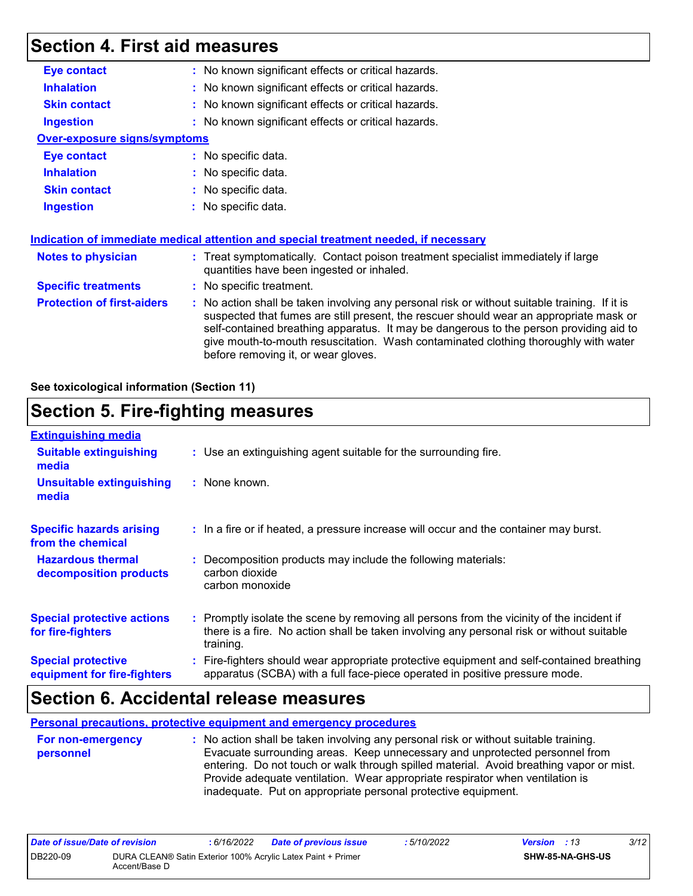## **Section 4. First aid measures**

| <b>Eye contact</b><br>: No known significant effects or critical hazards.<br><b>Inhalation</b><br>: No known significant effects or critical hazards.<br>: No known significant effects or critical hazards.<br><b>Skin contact</b><br>: No known significant effects or critical hazards.<br><b>Ingestion</b><br><b>Over-exposure signs/symptoms</b><br><b>Eye contact</b><br>: No specific data.<br><b>Inhalation</b><br>: No specific data.<br><b>Skin contact</b><br>: No specific data.<br><b>Ingestion</b><br>: No specific data.<br>Indication of immediate medical attention and special treatment needed, if necessary<br>: Treat symptomatically. Contact poison treatment specialist immediately if large<br><b>Notes to physician</b><br>quantities have been ingested or inhaled.<br><b>Specific treatments</b><br>: No specific treatment.<br><b>Protection of first-aiders</b><br>: No action shall be taken involving any personal risk or without suitable training. If it is<br>suspected that fumes are still present, the rescuer should wear an appropriate mask or<br>self-contained breathing apparatus. It may be dangerous to the person providing aid to |  |
|------------------------------------------------------------------------------------------------------------------------------------------------------------------------------------------------------------------------------------------------------------------------------------------------------------------------------------------------------------------------------------------------------------------------------------------------------------------------------------------------------------------------------------------------------------------------------------------------------------------------------------------------------------------------------------------------------------------------------------------------------------------------------------------------------------------------------------------------------------------------------------------------------------------------------------------------------------------------------------------------------------------------------------------------------------------------------------------------------------------------------------------------------------------------------------|--|
|                                                                                                                                                                                                                                                                                                                                                                                                                                                                                                                                                                                                                                                                                                                                                                                                                                                                                                                                                                                                                                                                                                                                                                                    |  |
|                                                                                                                                                                                                                                                                                                                                                                                                                                                                                                                                                                                                                                                                                                                                                                                                                                                                                                                                                                                                                                                                                                                                                                                    |  |
|                                                                                                                                                                                                                                                                                                                                                                                                                                                                                                                                                                                                                                                                                                                                                                                                                                                                                                                                                                                                                                                                                                                                                                                    |  |
|                                                                                                                                                                                                                                                                                                                                                                                                                                                                                                                                                                                                                                                                                                                                                                                                                                                                                                                                                                                                                                                                                                                                                                                    |  |
|                                                                                                                                                                                                                                                                                                                                                                                                                                                                                                                                                                                                                                                                                                                                                                                                                                                                                                                                                                                                                                                                                                                                                                                    |  |
|                                                                                                                                                                                                                                                                                                                                                                                                                                                                                                                                                                                                                                                                                                                                                                                                                                                                                                                                                                                                                                                                                                                                                                                    |  |
|                                                                                                                                                                                                                                                                                                                                                                                                                                                                                                                                                                                                                                                                                                                                                                                                                                                                                                                                                                                                                                                                                                                                                                                    |  |
|                                                                                                                                                                                                                                                                                                                                                                                                                                                                                                                                                                                                                                                                                                                                                                                                                                                                                                                                                                                                                                                                                                                                                                                    |  |
|                                                                                                                                                                                                                                                                                                                                                                                                                                                                                                                                                                                                                                                                                                                                                                                                                                                                                                                                                                                                                                                                                                                                                                                    |  |
|                                                                                                                                                                                                                                                                                                                                                                                                                                                                                                                                                                                                                                                                                                                                                                                                                                                                                                                                                                                                                                                                                                                                                                                    |  |
|                                                                                                                                                                                                                                                                                                                                                                                                                                                                                                                                                                                                                                                                                                                                                                                                                                                                                                                                                                                                                                                                                                                                                                                    |  |
|                                                                                                                                                                                                                                                                                                                                                                                                                                                                                                                                                                                                                                                                                                                                                                                                                                                                                                                                                                                                                                                                                                                                                                                    |  |
|                                                                                                                                                                                                                                                                                                                                                                                                                                                                                                                                                                                                                                                                                                                                                                                                                                                                                                                                                                                                                                                                                                                                                                                    |  |
| give mouth-to-mouth resuscitation. Wash contaminated clothing thoroughly with water<br>before removing it, or wear gloves.                                                                                                                                                                                                                                                                                                                                                                                                                                                                                                                                                                                                                                                                                                                                                                                                                                                                                                                                                                                                                                                         |  |

#### **See toxicological information (Section 11)**

# **Section 5. Fire-fighting measures**

| <b>Extinguishing media</b>                               |                                                                                                                                                                                                     |  |
|----------------------------------------------------------|-----------------------------------------------------------------------------------------------------------------------------------------------------------------------------------------------------|--|
| <b>Suitable extinguishing</b><br>media                   | : Use an extinguishing agent suitable for the surrounding fire.                                                                                                                                     |  |
| <b>Unsuitable extinguishing</b><br>media                 | : None known.                                                                                                                                                                                       |  |
| <b>Specific hazards arising</b><br>from the chemical     | : In a fire or if heated, a pressure increase will occur and the container may burst.                                                                                                               |  |
| <b>Hazardous thermal</b><br>decomposition products       | Decomposition products may include the following materials:<br>carbon dioxide<br>carbon monoxide                                                                                                    |  |
| <b>Special protective actions</b><br>for fire-fighters   | : Promptly isolate the scene by removing all persons from the vicinity of the incident if<br>there is a fire. No action shall be taken involving any personal risk or without suitable<br>training. |  |
| <b>Special protective</b><br>equipment for fire-fighters | : Fire-fighters should wear appropriate protective equipment and self-contained breathing<br>apparatus (SCBA) with a full face-piece operated in positive pressure mode.                            |  |

### **Section 6. Accidental release measures**

**Personal precautions, protective equipment and emergency procedures**

**:** No action shall be taken involving any personal risk or without suitable training. Evacuate surrounding areas. Keep unnecessary and unprotected personnel from entering. Do not touch or walk through spilled material. Avoid breathing vapor or mist. Provide adequate ventilation. Wear appropriate respirator when ventilation is inadequate. Put on appropriate personal protective equipment. **For non-emergency personnel**

| Date of issue/Date of revision |               | : 6/16/2022 | <b>Date of previous issue</b>                                | : 5/10/2022 | <b>Version</b> : 13     | 3/12 |
|--------------------------------|---------------|-------------|--------------------------------------------------------------|-------------|-------------------------|------|
| DB220-09                       | Accent/Base D |             | DURA CLEAN® Satin Exterior 100% Acrylic Latex Paint + Primer |             | <b>SHW-85-NA-GHS-US</b> |      |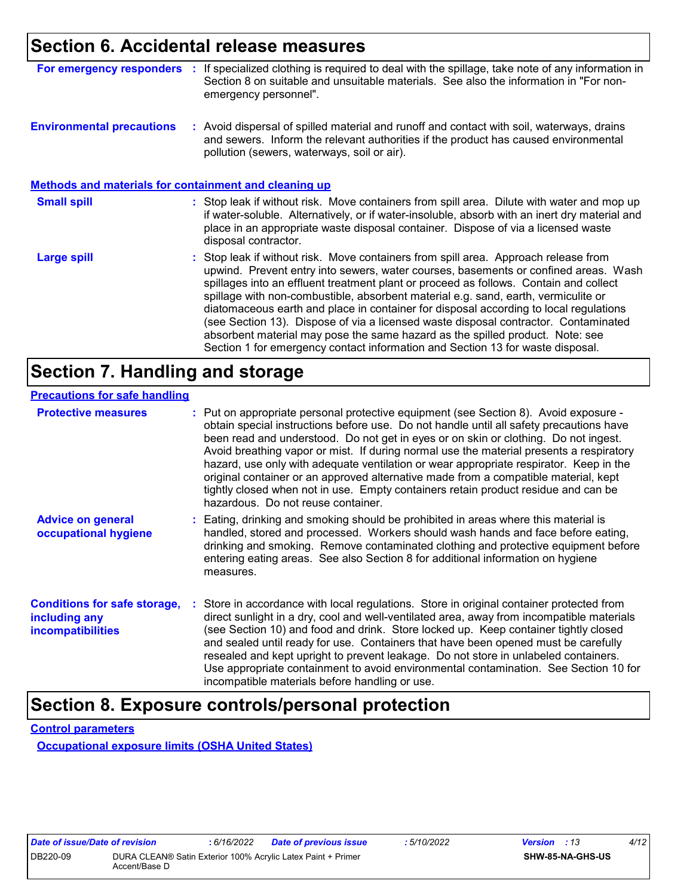### **Section 6. Accidental release measures**

| For emergency responders                                     | If specialized clothing is required to deal with the spillage, take note of any information in<br>Section 8 on suitable and unsuitable materials. See also the information in "For non-<br>emergency personnel".                                                                                                                                                                                                                                                                                                                                                                                                                                                                                             |
|--------------------------------------------------------------|--------------------------------------------------------------------------------------------------------------------------------------------------------------------------------------------------------------------------------------------------------------------------------------------------------------------------------------------------------------------------------------------------------------------------------------------------------------------------------------------------------------------------------------------------------------------------------------------------------------------------------------------------------------------------------------------------------------|
| <b>Environmental precautions</b>                             | : Avoid dispersal of spilled material and runoff and contact with soil, waterways, drains<br>and sewers. Inform the relevant authorities if the product has caused environmental<br>pollution (sewers, waterways, soil or air).                                                                                                                                                                                                                                                                                                                                                                                                                                                                              |
| <b>Methods and materials for containment and cleaning up</b> |                                                                                                                                                                                                                                                                                                                                                                                                                                                                                                                                                                                                                                                                                                              |
| <b>Small spill</b>                                           | : Stop leak if without risk. Move containers from spill area. Dilute with water and mop up<br>if water-soluble. Alternatively, or if water-insoluble, absorb with an inert dry material and<br>place in an appropriate waste disposal container. Dispose of via a licensed waste<br>disposal contractor.                                                                                                                                                                                                                                                                                                                                                                                                     |
| <b>Large spill</b>                                           | : Stop leak if without risk. Move containers from spill area. Approach release from<br>upwind. Prevent entry into sewers, water courses, basements or confined areas. Wash<br>spillages into an effluent treatment plant or proceed as follows. Contain and collect<br>spillage with non-combustible, absorbent material e.g. sand, earth, vermiculite or<br>diatomaceous earth and place in container for disposal according to local regulations<br>(see Section 13). Dispose of via a licensed waste disposal contractor. Contaminated<br>absorbent material may pose the same hazard as the spilled product. Note: see<br>Section 1 for emergency contact information and Section 13 for waste disposal. |

# **Section 7. Handling and storage**

#### **Precautions for safe handling**

| <b>Protective measures</b>                                                       | : Put on appropriate personal protective equipment (see Section 8). Avoid exposure -<br>obtain special instructions before use. Do not handle until all safety precautions have<br>been read and understood. Do not get in eyes or on skin or clothing. Do not ingest.<br>Avoid breathing vapor or mist. If during normal use the material presents a respiratory<br>hazard, use only with adequate ventilation or wear appropriate respirator. Keep in the<br>original container or an approved alternative made from a compatible material, kept<br>tightly closed when not in use. Empty containers retain product residue and can be<br>hazardous. Do not reuse container. |
|----------------------------------------------------------------------------------|--------------------------------------------------------------------------------------------------------------------------------------------------------------------------------------------------------------------------------------------------------------------------------------------------------------------------------------------------------------------------------------------------------------------------------------------------------------------------------------------------------------------------------------------------------------------------------------------------------------------------------------------------------------------------------|
| <b>Advice on general</b><br>occupational hygiene                                 | : Eating, drinking and smoking should be prohibited in areas where this material is<br>handled, stored and processed. Workers should wash hands and face before eating,<br>drinking and smoking. Remove contaminated clothing and protective equipment before<br>entering eating areas. See also Section 8 for additional information on hygiene<br>measures.                                                                                                                                                                                                                                                                                                                  |
| <b>Conditions for safe storage,</b><br>including any<br><b>incompatibilities</b> | : Store in accordance with local regulations. Store in original container protected from<br>direct sunlight in a dry, cool and well-ventilated area, away from incompatible materials<br>(see Section 10) and food and drink. Store locked up. Keep container tightly closed<br>and sealed until ready for use. Containers that have been opened must be carefully<br>resealed and kept upright to prevent leakage. Do not store in unlabeled containers.<br>Use appropriate containment to avoid environmental contamination. See Section 10 for<br>incompatible materials before handling or use.                                                                            |

# **Section 8. Exposure controls/personal protection**

**Control parameters**

**Occupational exposure limits (OSHA United States)**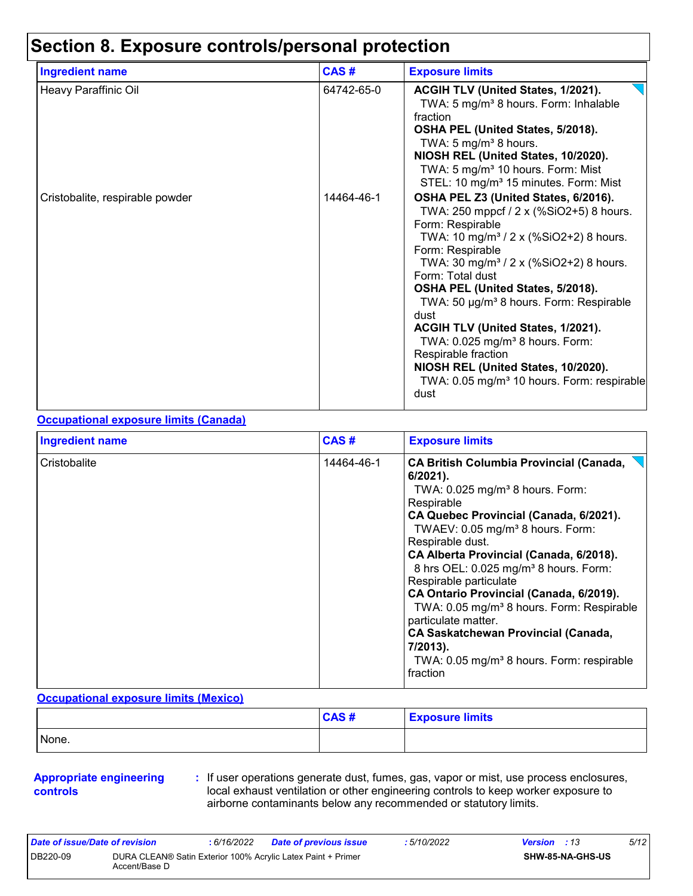# **Section 8. Exposure controls/personal protection**

| <b>Ingredient name</b>          | CAS#       | <b>Exposure limits</b>                                                                                                                                                                                                                                                                                                                                                                                                                                                                                                                                                           |
|---------------------------------|------------|----------------------------------------------------------------------------------------------------------------------------------------------------------------------------------------------------------------------------------------------------------------------------------------------------------------------------------------------------------------------------------------------------------------------------------------------------------------------------------------------------------------------------------------------------------------------------------|
| Heavy Paraffinic Oil            | 64742-65-0 | ACGIH TLV (United States, 1/2021).<br>TWA: 5 mg/m <sup>3</sup> 8 hours. Form: Inhalable<br>fraction<br>OSHA PEL (United States, 5/2018).<br>TWA: 5 $mg/m3$ 8 hours.<br>NIOSH REL (United States, 10/2020).<br>TWA: 5 mg/m <sup>3</sup> 10 hours. Form: Mist<br>STEL: 10 mg/m <sup>3</sup> 15 minutes. Form: Mist                                                                                                                                                                                                                                                                 |
| Cristobalite, respirable powder | 14464-46-1 | OSHA PEL Z3 (United States, 6/2016).<br>TWA: 250 mppcf / 2 x (%SiO2+5) 8 hours.<br>Form: Respirable<br>TWA: 10 mg/m <sup>3</sup> / 2 x (%SiO2+2) 8 hours.<br>Form: Respirable<br>TWA: 30 mg/m <sup>3</sup> / 2 x (%SiO2+2) 8 hours.<br>Form: Total dust<br>OSHA PEL (United States, 5/2018).<br>TWA: 50 µg/m <sup>3</sup> 8 hours. Form: Respirable<br>dust<br>ACGIH TLV (United States, 1/2021).<br>TWA: 0.025 mg/m <sup>3</sup> 8 hours. Form:<br>Respirable fraction<br>NIOSH REL (United States, 10/2020).<br>TWA: 0.05 mg/m <sup>3</sup> 10 hours. Form: respirable<br>dust |

#### **Occupational exposure limits (Canada)**

| <b>Ingredient name</b> | CAS#       | <b>Exposure limits</b>                                                                                                                                                                                                                                                                                                                                                                                                                                                                                                                                                                                                         |
|------------------------|------------|--------------------------------------------------------------------------------------------------------------------------------------------------------------------------------------------------------------------------------------------------------------------------------------------------------------------------------------------------------------------------------------------------------------------------------------------------------------------------------------------------------------------------------------------------------------------------------------------------------------------------------|
| Cristobalite           | 14464-46-1 | <b>CA British Columbia Provincial (Canada,</b><br>$6/2021$ ).<br>TWA: $0.025$ mg/m <sup>3</sup> 8 hours. Form:<br>Respirable<br>CA Quebec Provincial (Canada, 6/2021).<br>TWAEV: 0.05 mg/m <sup>3</sup> 8 hours. Form:<br>Respirable dust.<br>CA Alberta Provincial (Canada, 6/2018).<br>8 hrs OEL: 0.025 mg/m <sup>3</sup> 8 hours. Form:<br>Respirable particulate<br>CA Ontario Provincial (Canada, 6/2019).<br>TWA: 0.05 mg/m <sup>3</sup> 8 hours. Form: Respirable<br>particulate matter.<br><b>CA Saskatchewan Provincial (Canada,</b><br>7/2013).<br>TWA: 0.05 mg/m <sup>3</sup> 8 hours. Form: respirable<br>fraction |

#### **Occupational exposure limits (Mexico)**

|       | CAS# | <b>Exposure limits</b> |
|-------|------|------------------------|
| None. |      |                        |

#### **Appropriate engineering controls**

**:** If user operations generate dust, fumes, gas, vapor or mist, use process enclosures, local exhaust ventilation or other engineering controls to keep worker exposure to airborne contaminants below any recommended or statutory limits.

| Date of issue/Date of revision |                                                                               | 6/16/2022 | <b>Date of previous issue</b> | : 5/10/2022 | <b>Version</b> : 13 |                         | 5/12 |
|--------------------------------|-------------------------------------------------------------------------------|-----------|-------------------------------|-------------|---------------------|-------------------------|------|
| DB220-09                       | DURA CLEAN® Satin Exterior 100% Acrylic Latex Paint + Primer<br>Accent/Base D |           |                               |             |                     | <b>SHW-85-NA-GHS-US</b> |      |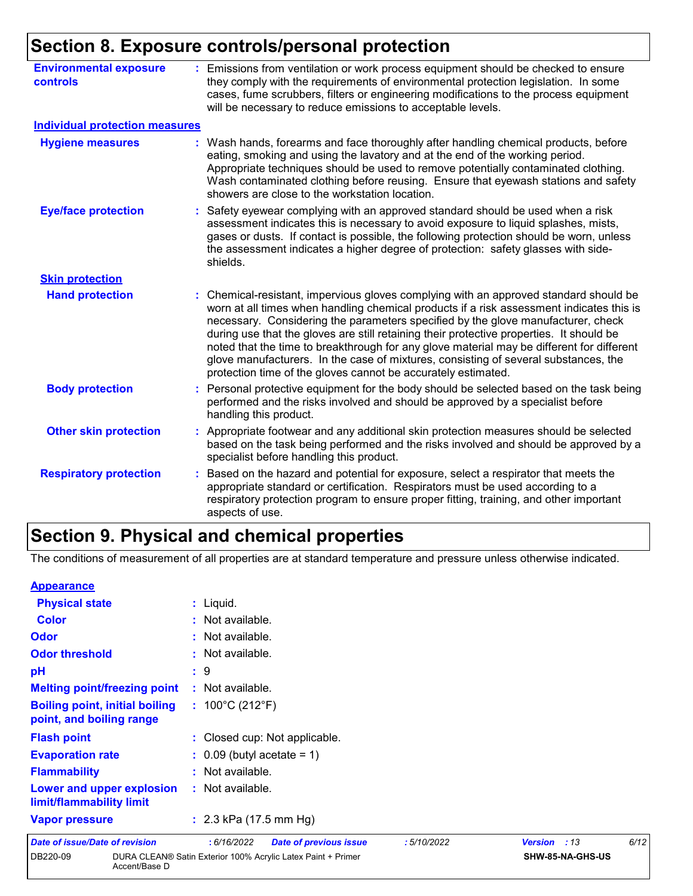# **Section 8. Exposure controls/personal protection**

| <b>Environmental exposure</b><br>controls | Emissions from ventilation or work process equipment should be checked to ensure<br>they comply with the requirements of environmental protection legislation. In some<br>cases, fume scrubbers, filters or engineering modifications to the process equipment<br>will be necessary to reduce emissions to acceptable levels.                                                                                                                                                                                                                                                                                          |
|-------------------------------------------|------------------------------------------------------------------------------------------------------------------------------------------------------------------------------------------------------------------------------------------------------------------------------------------------------------------------------------------------------------------------------------------------------------------------------------------------------------------------------------------------------------------------------------------------------------------------------------------------------------------------|
| <b>Individual protection measures</b>     |                                                                                                                                                                                                                                                                                                                                                                                                                                                                                                                                                                                                                        |
| <b>Hygiene measures</b>                   | : Wash hands, forearms and face thoroughly after handling chemical products, before<br>eating, smoking and using the lavatory and at the end of the working period.<br>Appropriate techniques should be used to remove potentially contaminated clothing.<br>Wash contaminated clothing before reusing. Ensure that eyewash stations and safety<br>showers are close to the workstation location.                                                                                                                                                                                                                      |
| <b>Eye/face protection</b>                | Safety eyewear complying with an approved standard should be used when a risk<br>assessment indicates this is necessary to avoid exposure to liquid splashes, mists,<br>gases or dusts. If contact is possible, the following protection should be worn, unless<br>the assessment indicates a higher degree of protection: safety glasses with side-<br>shields.                                                                                                                                                                                                                                                       |
| <b>Skin protection</b>                    |                                                                                                                                                                                                                                                                                                                                                                                                                                                                                                                                                                                                                        |
| <b>Hand protection</b>                    | : Chemical-resistant, impervious gloves complying with an approved standard should be<br>worn at all times when handling chemical products if a risk assessment indicates this is<br>necessary. Considering the parameters specified by the glove manufacturer, check<br>during use that the gloves are still retaining their protective properties. It should be<br>noted that the time to breakthrough for any glove material may be different for different<br>glove manufacturers. In the case of mixtures, consisting of several substances, the<br>protection time of the gloves cannot be accurately estimated. |
| <b>Body protection</b>                    | : Personal protective equipment for the body should be selected based on the task being<br>performed and the risks involved and should be approved by a specialist before<br>handling this product.                                                                                                                                                                                                                                                                                                                                                                                                                    |
| <b>Other skin protection</b>              | : Appropriate footwear and any additional skin protection measures should be selected<br>based on the task being performed and the risks involved and should be approved by a<br>specialist before handling this product.                                                                                                                                                                                                                                                                                                                                                                                              |
| <b>Respiratory protection</b>             | Based on the hazard and potential for exposure, select a respirator that meets the<br>appropriate standard or certification. Respirators must be used according to a<br>respiratory protection program to ensure proper fitting, training, and other important<br>aspects of use.                                                                                                                                                                                                                                                                                                                                      |

# **Section 9. Physical and chemical properties**

DB220-09 DURA CLEAN® Satin Exterior 100% Acrylic Latex Paint + Primer

Accent/Base D

The conditions of measurement of all properties are at standard temperature and pressure unless otherwise indicated.

#### **Appearance**

| <b>Date of issue/Date of revision</b>                             | : 6/16/2022<br><b>Date of previous issue</b> | :5/10/2022 | :13<br><b>Version</b> | 6/12 |
|-------------------------------------------------------------------|----------------------------------------------|------------|-----------------------|------|
| <b>Vapor pressure</b>                                             | : $2.3$ kPa (17.5 mm Hg)                     |            |                       |      |
| Lower and upper explosion<br>limit/flammability limit             | : Not available.                             |            |                       |      |
| <b>Flammability</b>                                               | : Not available.                             |            |                       |      |
| <b>Evaporation rate</b>                                           | $\therefore$ 0.09 (butyl acetate = 1)        |            |                       |      |
| <b>Flash point</b>                                                | : Closed cup: Not applicable.                |            |                       |      |
| <b>Boiling point, initial boiling</b><br>point, and boiling range | : $100^{\circ}$ C (212 $^{\circ}$ F)         |            |                       |      |
| <b>Melting point/freezing point</b>                               | : Not available.                             |            |                       |      |
| pH                                                                | :9                                           |            |                       |      |
| <b>Odor threshold</b>                                             | : Not available.                             |            |                       |      |
| Odor                                                              | : Not available.                             |            |                       |      |
| <b>Color</b>                                                      | : Not available.                             |            |                       |      |
| <b>Physical state</b>                                             | $:$ Liquid.                                  |            |                       |      |

**SHW-85-NA-GHS-US**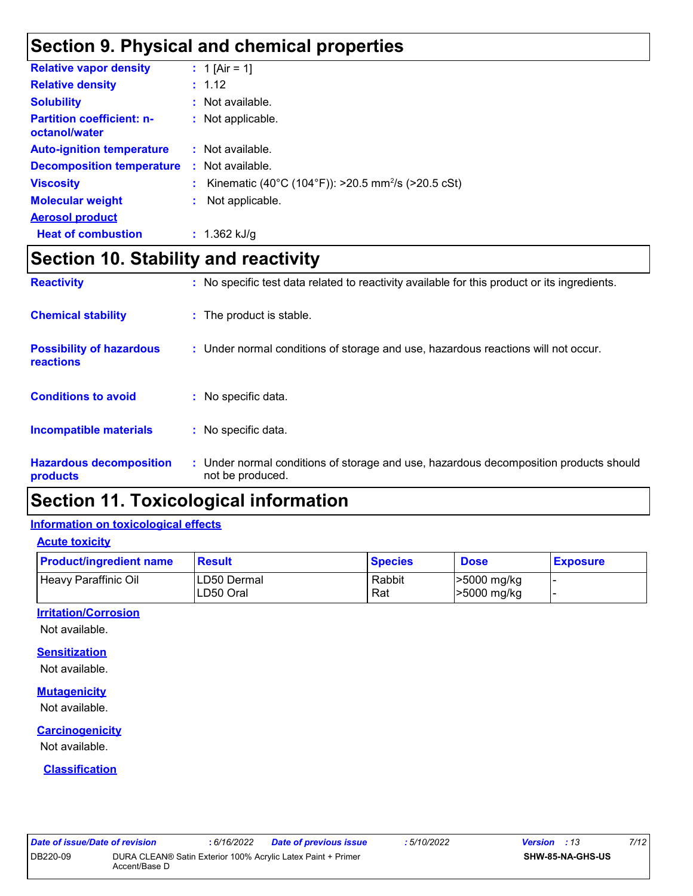# **Section 9. Physical and chemical properties**

| <b>Relative vapor density</b>                     |    | : 1 [Air = 1]                                                  |
|---------------------------------------------------|----|----------------------------------------------------------------|
| <b>Relative density</b>                           |    | : 1.12                                                         |
| <b>Solubility</b>                                 |    | : Not available.                                               |
| <b>Partition coefficient: n-</b><br>octanol/water |    | : Not applicable.                                              |
| <b>Auto-ignition temperature</b>                  |    | $\therefore$ Not available.                                    |
| <b>Decomposition temperature</b>                  | ÷. | Not available.                                                 |
| <b>Viscosity</b>                                  |    | Kinematic (40°C (104°F)): >20.5 mm <sup>2</sup> /s (>20.5 cSt) |
| <b>Molecular weight</b>                           |    | Not applicable.                                                |
| <b>Aerosol product</b>                            |    |                                                                |
| <b>Heat of combustion</b>                         |    | : $1.362$ kJ/g                                                 |

# **Section 10. Stability and reactivity**

| <b>Reactivity</b>                            |    | : No specific test data related to reactivity available for this product or its ingredients.              |
|----------------------------------------------|----|-----------------------------------------------------------------------------------------------------------|
| <b>Chemical stability</b>                    |    | : The product is stable.                                                                                  |
| <b>Possibility of hazardous</b><br>reactions |    | : Under normal conditions of storage and use, hazardous reactions will not occur.                         |
| <b>Conditions to avoid</b>                   |    | $:$ No specific data.                                                                                     |
| Incompatible materials                       | ÷. | No specific data.                                                                                         |
| <b>Hazardous decomposition</b><br>products   |    | : Under normal conditions of storage and use, hazardous decomposition products should<br>not be produced. |

# **Section 11. Toxicological information**

#### **Information on toxicological effects**

**Acute toxicity**

| <b>Product/ingredient name</b> | <b>Result</b>            | <b>Species</b> | <b>Dose</b>                | <b>Exposure</b> |
|--------------------------------|--------------------------|----------------|----------------------------|-----------------|
| Heavy Paraffinic Oil           | LD50 Dermal<br>LD50 Oral | Rabbit<br>Rat  | >5000 mg/kg<br>>5000 mg/kg |                 |

#### **Irritation/Corrosion**

Not available.

#### **Sensitization**

Not available.

#### **Mutagenicity**

Not available.

#### **Carcinogenicity**

Not available.

#### **Classification**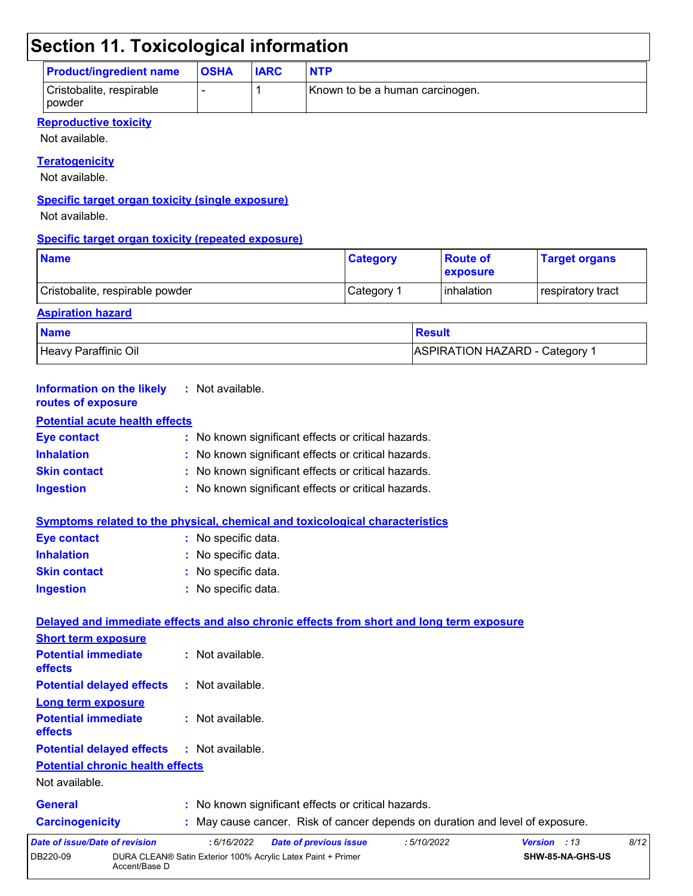# **Section 11. Toxicological information**

| <b>Product/ingredient name</b>       | <b>OSHA</b> | <b>IARC</b> | <b>NTP</b>                      |
|--------------------------------------|-------------|-------------|---------------------------------|
| Cristobalite, respirable<br>l powder |             |             | Known to be a human carcinogen. |

#### **Reproductive toxicity**

Not available.

#### **Teratogenicity**

Not available.

#### **Specific target organ toxicity (single exposure)**

Not available.

#### **Specific target organ toxicity (repeated exposure)**

| <b>Name</b>                     | <b>Category</b> | <b>Route of</b><br><b>Lexposure</b> | <b>Target organs</b> |
|---------------------------------|-----------------|-------------------------------------|----------------------|
| Cristobalite, respirable powder | Category 1      | <b>l</b> inhalation                 | respiratory tract    |

### **Aspiration hazard Name** Result **Result** Heavy Paraffinic Oil **ASPIRATION HAZARD** - Category 1

| <b>Information on the likely</b><br>routes of exposure                               | : Not available.                                                                         |  |
|--------------------------------------------------------------------------------------|------------------------------------------------------------------------------------------|--|
| <b>Potential acute health effects</b>                                                |                                                                                          |  |
| <b>Eye contact</b>                                                                   | : No known significant effects or critical hazards.                                      |  |
| <b>Inhalation</b>                                                                    | No known significant effects or critical hazards.                                        |  |
| <b>Skin contact</b>                                                                  | No known significant effects or critical hazards.                                        |  |
| <b>Ingestion</b>                                                                     | : No known significant effects or critical hazards.                                      |  |
|                                                                                      | <b>Symptoms related to the physical, chemical and toxicological characteristics</b>      |  |
| <b>Eye contact</b>                                                                   | : No specific data.                                                                      |  |
| <b>Inhalation</b>                                                                    | : No specific data.                                                                      |  |
| <b>Skin contact</b>                                                                  | No specific data.                                                                        |  |
| <b>Ingestion</b>                                                                     | : No specific data.                                                                      |  |
|                                                                                      | Delayed and immediate effects and also chronic effects from short and long term exposure |  |
| <b>Short term exposure</b>                                                           |                                                                                          |  |
| <b>Potential immediate</b>                                                           | : Not available.                                                                         |  |
|                                                                                      |                                                                                          |  |
|                                                                                      | $:$ Not available.                                                                       |  |
| Long term exposure                                                                   |                                                                                          |  |
| effects<br><b>Potential delayed effects</b><br><b>Potential immediate</b><br>effects | : Not available.                                                                         |  |
|                                                                                      | : Not available.                                                                         |  |
| <b>Potential chronic health effects</b>                                              |                                                                                          |  |
| Not available.                                                                       |                                                                                          |  |
| <b>Potential delayed effects</b><br><b>General</b>                                   | : No known significant effects or critical hazards.                                      |  |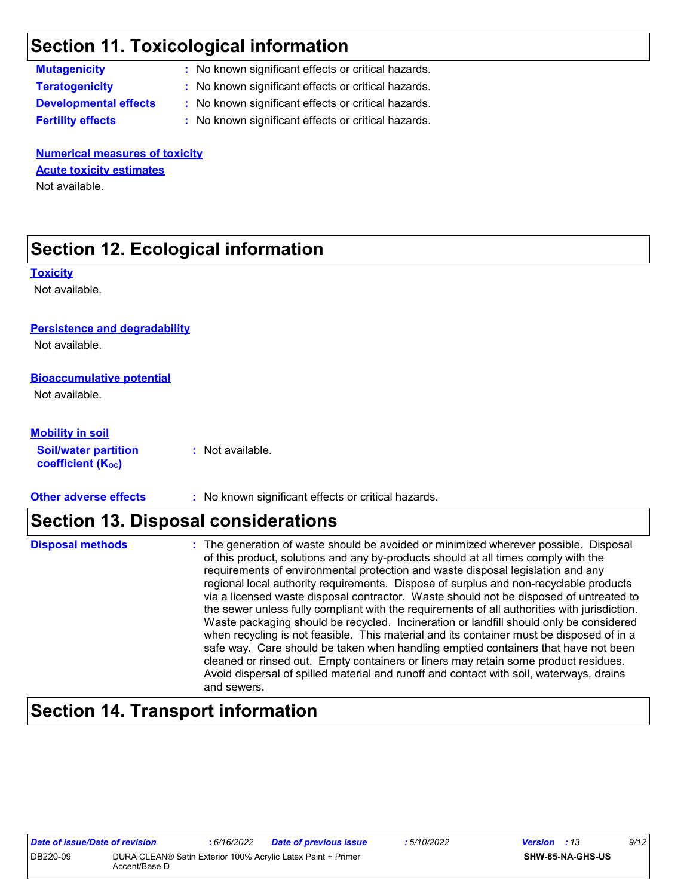# **Section 11. Toxicological information**

**Mutagenicity :** No known significant effects or critical hazards.

**Teratogenicity :** No known significant effects or critical hazards.

**Developmental effects :** No known significant effects or critical hazards.

**Fertility effects :** No known significant effects or critical hazards.

**Numerical measures of toxicity** Not available. **Acute toxicity estimates**

# **Section 12. Ecological information**

**Toxicity**

Not available.

#### **Persistence and degradability**

Not available.

#### **Bioaccumulative potential**

Not available.

#### **Mobility in soil**

**Soil/water partition**  coefficient (K<sub>oc</sub>)

**:** Not available.

**Other adverse effects** : No known significant effects or critical hazards.

### **Section 13. Disposal considerations**

| <b>Disposal methods</b> | : The generation of waste should be avoided or minimized wherever possible. Disposal<br>of this product, solutions and any by-products should at all times comply with the<br>requirements of environmental protection and waste disposal legislation and any<br>regional local authority requirements. Dispose of surplus and non-recyclable products<br>via a licensed waste disposal contractor. Waste should not be disposed of untreated to<br>the sewer unless fully compliant with the requirements of all authorities with jurisdiction.<br>Waste packaging should be recycled. Incineration or landfill should only be considered<br>when recycling is not feasible. This material and its container must be disposed of in a<br>safe way. Care should be taken when handling emptied containers that have not been<br>cleaned or rinsed out. Empty containers or liners may retain some product residues.<br>Avoid dispersal of spilled material and runoff and contact with soil, waterways, drains |
|-------------------------|----------------------------------------------------------------------------------------------------------------------------------------------------------------------------------------------------------------------------------------------------------------------------------------------------------------------------------------------------------------------------------------------------------------------------------------------------------------------------------------------------------------------------------------------------------------------------------------------------------------------------------------------------------------------------------------------------------------------------------------------------------------------------------------------------------------------------------------------------------------------------------------------------------------------------------------------------------------------------------------------------------------|
|                         | and sewers.                                                                                                                                                                                                                                                                                                                                                                                                                                                                                                                                                                                                                                                                                                                                                                                                                                                                                                                                                                                                    |

# **Section 14. Transport information**

| Date of issue/Date of revision |                                                                               | : 6/16/2022 | <b>Date of previous issue</b> | : 5/10/2022 | <b>Version</b> : 13 |                         | 9/12 |
|--------------------------------|-------------------------------------------------------------------------------|-------------|-------------------------------|-------------|---------------------|-------------------------|------|
| DB220-09                       | DURA CLEAN® Satin Exterior 100% Acrylic Latex Paint + Primer<br>Accent/Base D |             |                               |             |                     | <b>SHW-85-NA-GHS-US</b> |      |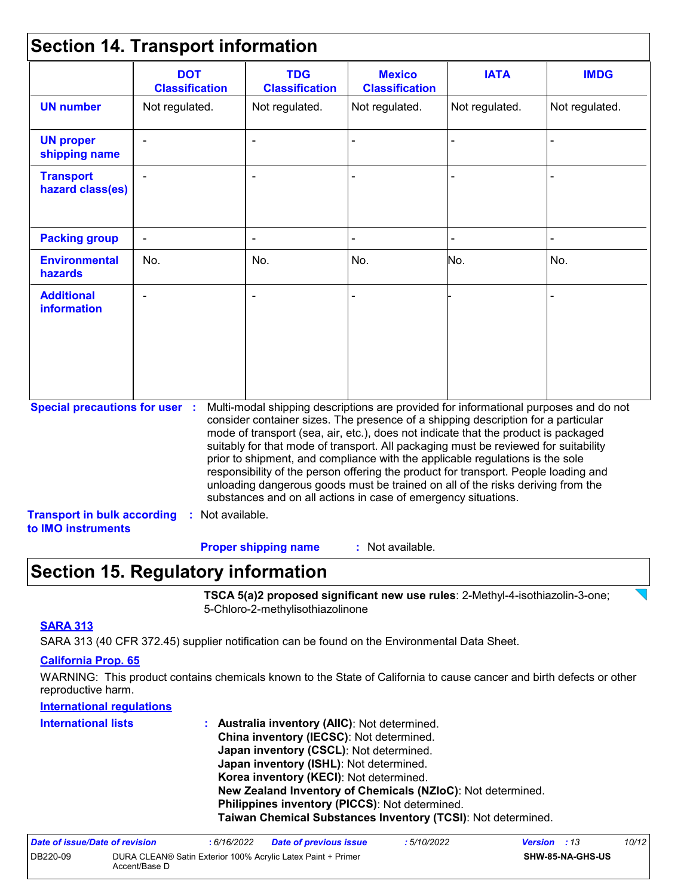# **Section 14. Transport information**

|                                                          | <b>DOT</b><br><b>Classification</b> | <b>TDG</b><br><b>Classification</b>                                                                                                                                                                                                                                                                                                                                                                                                                                                                                                                                                                                                                                                 | <b>Mexico</b><br><b>Classification</b> | <b>IATA</b>    | <b>IMDG</b>    |
|----------------------------------------------------------|-------------------------------------|-------------------------------------------------------------------------------------------------------------------------------------------------------------------------------------------------------------------------------------------------------------------------------------------------------------------------------------------------------------------------------------------------------------------------------------------------------------------------------------------------------------------------------------------------------------------------------------------------------------------------------------------------------------------------------------|----------------------------------------|----------------|----------------|
| <b>UN number</b>                                         | Not regulated.                      | Not regulated.                                                                                                                                                                                                                                                                                                                                                                                                                                                                                                                                                                                                                                                                      | Not regulated.                         | Not regulated. | Not regulated. |
| <b>UN proper</b><br>shipping name                        |                                     | $\blacksquare$                                                                                                                                                                                                                                                                                                                                                                                                                                                                                                                                                                                                                                                                      |                                        |                |                |
| <b>Transport</b><br>hazard class(es)                     |                                     |                                                                                                                                                                                                                                                                                                                                                                                                                                                                                                                                                                                                                                                                                     |                                        |                |                |
| <b>Packing group</b>                                     |                                     |                                                                                                                                                                                                                                                                                                                                                                                                                                                                                                                                                                                                                                                                                     |                                        |                |                |
| <b>Environmental</b><br>hazards                          | No.                                 | No.                                                                                                                                                                                                                                                                                                                                                                                                                                                                                                                                                                                                                                                                                 | No.                                    | No.            | No.            |
| <b>Additional</b><br><b>information</b>                  |                                     |                                                                                                                                                                                                                                                                                                                                                                                                                                                                                                                                                                                                                                                                                     |                                        |                |                |
| <b>Special precautions for user :</b>                    |                                     | Multi-modal shipping descriptions are provided for informational purposes and do not<br>consider container sizes. The presence of a shipping description for a particular<br>mode of transport (sea, air, etc.), does not indicate that the product is packaged<br>suitably for that mode of transport. All packaging must be reviewed for suitability<br>prior to shipment, and compliance with the applicable regulations is the sole<br>responsibility of the person offering the product for transport. People loading and<br>unloading dangerous goods must be trained on all of the risks deriving from the<br>substances and on all actions in case of emergency situations. |                                        |                |                |
| <b>Transport in bulk according</b><br>to IMO instruments | : Not available.                    |                                                                                                                                                                                                                                                                                                                                                                                                                                                                                                                                                                                                                                                                                     |                                        |                |                |

: Not available. **Proper shipping name :**

### **Section 15. Regulatory information**

**TSCA 5(a)2 proposed significant new use rules**: 2-Methyl-4-isothiazolin-3-one; 5-Chloro-2-methylisothiazolinone

#### **SARA 313**

SARA 313 (40 CFR 372.45) supplier notification can be found on the Environmental Data Sheet.

#### **California Prop. 65**

WARNING: This product contains chemicals known to the State of California to cause cancer and birth defects or other reproductive harm.

#### **International regulations**

| <b>International lists</b> | : Australia inventory (AIIC): Not determined.                |
|----------------------------|--------------------------------------------------------------|
|                            | China inventory (IECSC): Not determined.                     |
|                            | Japan inventory (CSCL): Not determined.                      |
|                            | Japan inventory (ISHL): Not determined.                      |
|                            | Korea inventory (KECI): Not determined.                      |
|                            | New Zealand Inventory of Chemicals (NZIoC): Not determined.  |
|                            | Philippines inventory (PICCS): Not determined.               |
|                            | Taiwan Chemical Substances Inventory (TCSI): Not determined. |

| Date of issue/Date of revision |               | 6/16/2022 | <b>Date of previous issue</b>                                | : 5/10/2022 | <b>Version</b> : 13 |                         | 10/12 |
|--------------------------------|---------------|-----------|--------------------------------------------------------------|-------------|---------------------|-------------------------|-------|
| DB220-09                       | Accent/Base D |           | DURA CLEAN® Satin Exterior 100% Acrylic Latex Paint + Primer |             |                     | <b>SHW-85-NA-GHS-US</b> |       |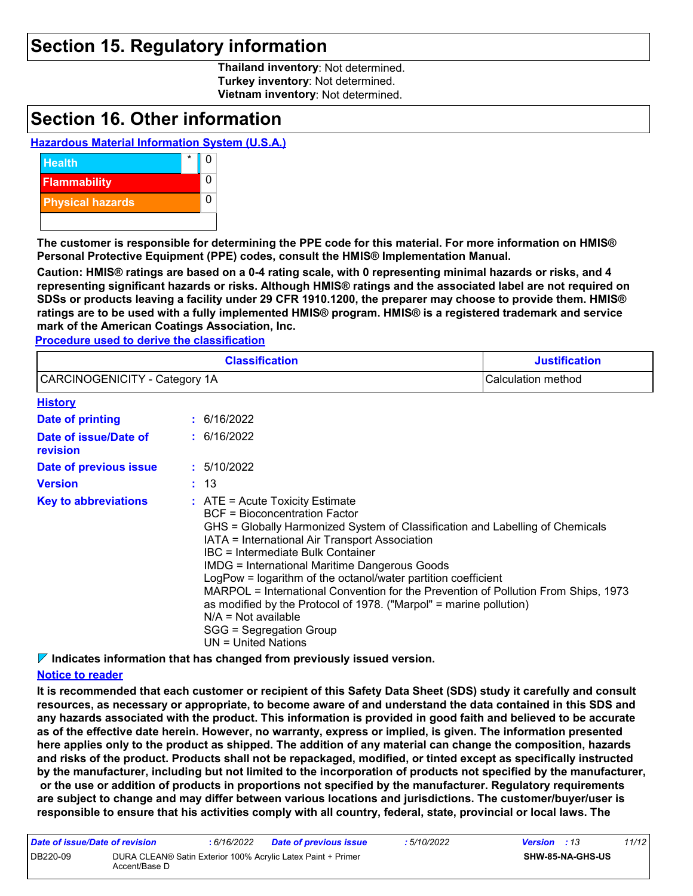### **Section 15. Regulatory information**

**Thailand inventory**: Not determined. **Turkey inventory**: Not determined. **Vietnam inventory**: Not determined.

### **Section 16. Other information**

#### **Hazardous Material Information System (U.S.A.)**



**The customer is responsible for determining the PPE code for this material. For more information on HMIS® Personal Protective Equipment (PPE) codes, consult the HMIS® Implementation Manual.**

**Caution: HMIS® ratings are based on a 0-4 rating scale, with 0 representing minimal hazards or risks, and 4 representing significant hazards or risks. Although HMIS® ratings and the associated label are not required on SDSs or products leaving a facility under 29 CFR 1910.1200, the preparer may choose to provide them. HMIS® ratings are to be used with a fully implemented HMIS® program. HMIS® is a registered trademark and service mark of the American Coatings Association, Inc.**

**Procedure used to derive the classification**

|                                                     |                                                                                                                                                                                                                                                                                                                                                                                                                                                                                                                                                                                                                           | <b>Classification</b> | <b>Justification</b> |  |
|-----------------------------------------------------|---------------------------------------------------------------------------------------------------------------------------------------------------------------------------------------------------------------------------------------------------------------------------------------------------------------------------------------------------------------------------------------------------------------------------------------------------------------------------------------------------------------------------------------------------------------------------------------------------------------------------|-----------------------|----------------------|--|
| CARCINOGENICITY - Category 1A<br>Calculation method |                                                                                                                                                                                                                                                                                                                                                                                                                                                                                                                                                                                                                           |                       |                      |  |
| <b>History</b>                                      |                                                                                                                                                                                                                                                                                                                                                                                                                                                                                                                                                                                                                           |                       |                      |  |
| Date of printing                                    |                                                                                                                                                                                                                                                                                                                                                                                                                                                                                                                                                                                                                           | : 6/16/2022           |                      |  |
| Date of issue/Date of<br>revision                   |                                                                                                                                                                                                                                                                                                                                                                                                                                                                                                                                                                                                                           | : 6/16/2022           |                      |  |
| Date of previous issue                              |                                                                                                                                                                                                                                                                                                                                                                                                                                                                                                                                                                                                                           | : 5/10/2022           |                      |  |
| <b>Version</b>                                      |                                                                                                                                                                                                                                                                                                                                                                                                                                                                                                                                                                                                                           |                       |                      |  |
| <b>Key to abbreviations</b>                         | : 13<br>$:$ ATE = Acute Toxicity Estimate<br><b>BCF</b> = Bioconcentration Factor<br>GHS = Globally Harmonized System of Classification and Labelling of Chemicals<br>IATA = International Air Transport Association<br>IBC = Intermediate Bulk Container<br><b>IMDG = International Maritime Dangerous Goods</b><br>LogPow = logarithm of the octanol/water partition coefficient<br>MARPOL = International Convention for the Prevention of Pollution From Ships, 1973<br>as modified by the Protocol of 1978. ("Marpol" = marine pollution)<br>$N/A = Not available$<br>SGG = Segregation Group<br>UN = United Nations |                       |                      |  |

**Indicates information that has changed from previously issued version.**

#### **Notice to reader**

**It is recommended that each customer or recipient of this Safety Data Sheet (SDS) study it carefully and consult resources, as necessary or appropriate, to become aware of and understand the data contained in this SDS and any hazards associated with the product. This information is provided in good faith and believed to be accurate as of the effective date herein. However, no warranty, express or implied, is given. The information presented here applies only to the product as shipped. The addition of any material can change the composition, hazards and risks of the product. Products shall not be repackaged, modified, or tinted except as specifically instructed by the manufacturer, including but not limited to the incorporation of products not specified by the manufacturer, or the use or addition of products in proportions not specified by the manufacturer. Regulatory requirements are subject to change and may differ between various locations and jurisdictions. The customer/buyer/user is responsible to ensure that his activities comply with all country, federal, state, provincial or local laws. The** 

| Date of issue/Date of revision |               | 6/16/2022 | <b>Date of previous issue</b>                                | : 5/10/2022 | <b>Version</b> : 13 |                         | 11/12 |
|--------------------------------|---------------|-----------|--------------------------------------------------------------|-------------|---------------------|-------------------------|-------|
| DB220-09                       | Accent/Base D |           | DURA CLEAN® Satin Exterior 100% Acrylic Latex Paint + Primer |             |                     | <b>SHW-85-NA-GHS-US</b> |       |